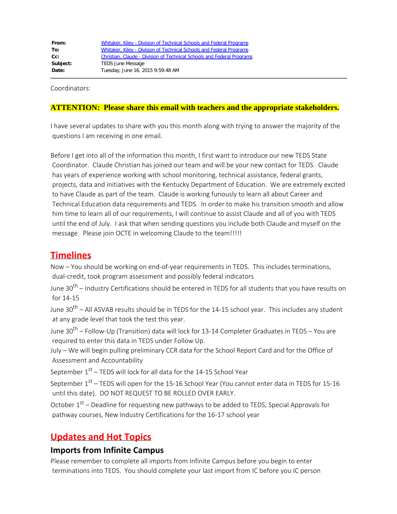| From:    | Whitaker, Kiley - Division of Technical Schools and Federal Programs   |
|----------|------------------------------------------------------------------------|
| To:      | Whitaker, Kiley - Division of Technical Schools and Federal Programs   |
| $Cc$ :   | Christian, Claude - Division of Technical Schools and Federal Programs |
| Subject: | <b>TEDS June Message</b>                                               |
| Date:    | Tuesday, June 16, 2015 9:59:48 AM                                      |

Coordinators:

#### **ATTENTION: Please share this email with teachers and the appropriate stakeholders.**

I have several updates to share with you this month along with trying to answer the majority of the questions I am receiving in one email.

Before I get into all of the information this month, I first want to introduce our new TEDS State Coordinator. Claude Christian has joined our team and will be your new contact for TEDS. Claude has years of experience working with school monitoring, technical assistance, federal grants, projects, data and initiatives with the Kentucky Department of Education. We are extremely excited to have Claude as part of the team. Claude is working furiously to learn all about Career and Technical Education data requirements and TEDS. In order to make his transition smooth and allow him time to learn all of our requirements, I will continue to assist Claude and all of you with TEDS until the end of July. I ask that when sending questions you include both Claude and myself on the message. Please join OCTE in welcoming Claude to the team!!!!!

#### **Timelines**

Now – You should be working on end-of-year requirements in TEDS. This includes terminations, dual-credit, took program assessment and possibly federal indicators

June 30<sup>th</sup> – Industry Certifications should be entered in TEDS for all students that you have results on for 14-15

June 30<sup>th</sup> – All ASVAB results should be in TEDS for the 14-15 school year. This includes any student at any grade level that took the test this year.

June 30<sup>th</sup> – Follow-Up (Transition) data will lock for 13-14 Completer Graduates in TEDS – You are required to enter this data in TEDS under Follow Up.

July – We will begin pulling preliminary CCR data for the School Report Card and for the Office of Assessment and Accountability

September  $1<sup>st</sup>$  – TEDS will lock for all data for the 14-15 School Year

September  $1^{st}$  – TEDS will open for the 15-16 School Year (You cannot enter data in TEDS for 15-16 until this date). DO NOT REQUEST TO BE ROLLED OVER EARLY.

October  $1<sup>st</sup>$  – Deadline for requesting new pathways to be added to TEDS, Special Approvals for pathway courses, New Industry Certifications for the 16-17 school year

# **Updates and Hot Topics**

#### **Imports from Infinite Campus**

Please remember to complete all imports from Infinite Campus before you begin to enter terminations into TEDS. You should complete your last import from IC before you IC person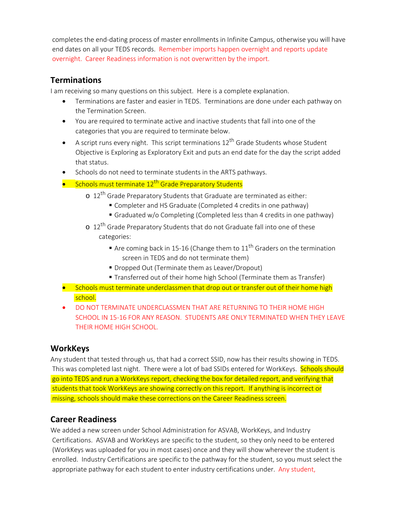completes the end-dating process of master enrollments in Infinite Campus, otherwise you will have end dates on all your TEDS records. Remember imports happen overnight and reports update overnight. Career Readiness information is not overwritten by the import.

#### **Terminations**

I am receiving so many questions on this subject. Here is a complete explanation.

- Terminations are faster and easier in TEDS. Terminations are done under each pathway on the Termination Screen.
- · You are required to terminate active and inactive students that fall into one of the categories that you are required to terminate below.
- A script runs every night. This script terminations  $12<sup>th</sup>$  Grade Students whose Student Objective is Exploring as Exploratory Exit and puts an end date for the day the script added that status.
- Schools do not need to terminate students in the ARTS pathways.
- Schools must terminate 12<sup>th</sup> Grade Preparatory Students
	- $\sigma$  12<sup>th</sup> Grade Preparatory Students that Graduate are terminated as either:
		- Completer and HS Graduate (Completed 4 credits in one pathway)
		- Graduated w/o Completing (Completed less than 4 credits in one pathway)
	- o 12<sup>th</sup> Grade Preparatory Students that do not Graduate fall into one of these categories:
		- **Example 26 Are coming back in 15-16 (Change them to 11<sup>th</sup> Graders on the termination** screen in TEDS and do not terminate them)
		- Dropped Out (Terminate them as Leaver/Dropout)
		- Transferred out of their home high School (Terminate them as Transfer)
- Schools must terminate underclassmen that drop out or transfer out of their home high school.
- · DO NOT TERMINATE UNDERCLASSMEN THAT ARE RETURNING TO THEIR HOME HIGH SCHOOL IN 15-16 FOR ANY REASON. STUDENTS ARE ONLY TERMINATED WHEN THEY LEAVE THEIR HOME HIGH SCHOOL.

#### **WorkKeys**

Any student that tested through us, that had a correct SSID, now has their results showing in TEDS. This was completed last night. There were a lot of bad SSIDs entered for WorkKeys. Schools should go into TEDS and run a WorkKeys report, checking the box for detailed report, and verifying that students that took WorkKeys are showing correctly on this report. If anything is incorrect or missing, schools should make these corrections on the Career Readiness screen.

#### **Career Readiness**

We added a new screen under School Administration for ASVAB, WorkKeys, and Industry Certifications. ASVAB and WorkKeys are specific to the student, so they only need to be entered (WorkKeys was uploaded for you in most cases) once and they will show wherever the student is enrolled. Industry Certifications are specific to the pathway for the student, so you must select the appropriate pathway for each student to enter industry certifications under. Any student,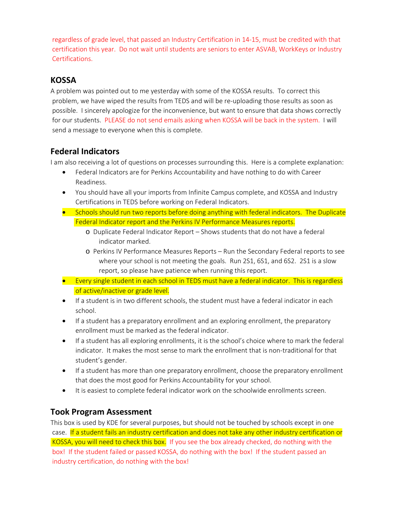regardless of grade level, that passed an Industry Certification in 14-15, must be credited with that certification this year. Do not wait until students are seniors to enter ASVAB, WorkKeys or Industry Certifications.

#### **KOSSA**

A problem was pointed out to me yesterday with some of the KOSSA results. To correct this problem, we have wiped the results from TEDS and will be re-uploading those results as soon as possible. I sincerely apologize for the inconvenience, but want to ensure that data shows correctly for our students. PLEASE do not send emails asking when KOSSA will be back in the system. I will send a message to everyone when this is complete.

## **Federal Indicators**

I am also receiving a lot of questions on processes surrounding this. Here is a complete explanation:

- Federal Indicators are for Perkins Accountability and have nothing to do with Career Readiness.
- · You should have all your imports from Infinite Campus complete, and KOSSA and Industry Certifications in TEDS before working on Federal Indicators.
- Schools should run two reports before doing anything with federal indicators. The Duplicate Federal Indicator report and the Perkins IV Performance Measures reports.
	- o Duplicate Federal Indicator Report Shows students that do not have a federal indicator marked.
	- o Perkins IV Performance Measures Reports Run the Secondary Federal reports to see where your school is not meeting the goals. Run 2S1, 6S1, and 6S2. 2S1 is a slow report, so please have patience when running this report.
- · Every single student in each school in TEDS must have a federal indicator. This is regardless of active/inactive or grade level.
- · If a student is in two different schools, the student must have a federal indicator in each school.
- If a student has a preparatory enrollment and an exploring enrollment, the preparatory enrollment must be marked as the federal indicator.
- · If a student has all exploring enrollments, it is the school's choice where to mark the federal indicator. It makes the most sense to mark the enrollment that is non-traditional for that student's gender.
- · If a student has more than one preparatory enrollment, choose the preparatory enrollment that does the most good for Perkins Accountability for your school.
- It is easiest to complete federal indicator work on the schoolwide enrollments screen.

#### **Took Program Assessment**

This box is used by KDE for several purposes, but should not be touched by schools except in one case. If a student fails an industry certification and does not take any other industry certification or KOSSA, you will need to check this box. If you see the box already checked, do nothing with the box! If the student failed or passed KOSSA, do nothing with the box! If the student passed an industry certification, do nothing with the box!